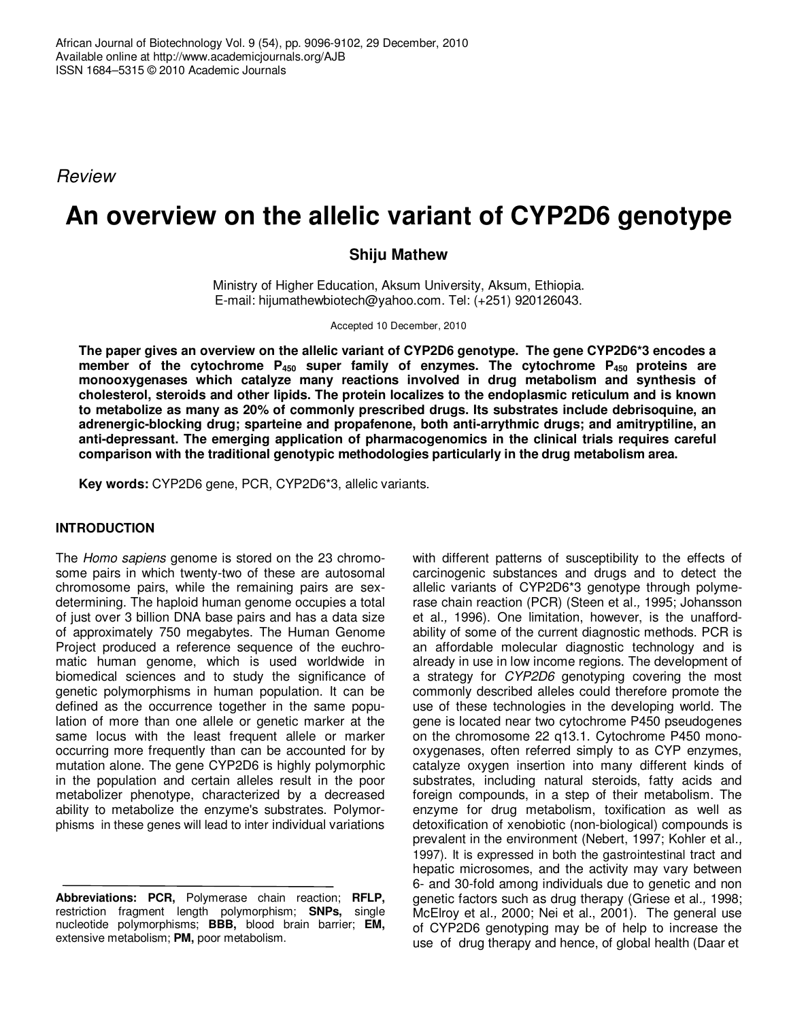*Review*

# **An overview on the allelic variant of CYP2D6 genotype**

# **Shiju Mathew**

Ministry of Higher Education, Aksum University, Aksum, Ethiopia. E-mail: hijumathewbiotech@yahoo.com. Tel: (+251) 920126043.

Accepted 10 December, 2010

**The paper gives an overview on the allelic variant of CYP2D6 genotype. The gene CYP2D6\*3 encodes a member of the cytochrome P<sup>450</sup> super family of enzymes. The cytochrome P<sup>450</sup> proteins are monooxygenases which catalyze many reactions involved in drug metabolism and synthesis of cholesterol, steroids and other lipids. The protein localizes to the endoplasmic reticulum and is known to metabolize as many as 20% of commonly prescribed drugs. Its substrates include debrisoquine, an adrenergic-blocking drug; sparteine and propafenone, both anti-arrythmic drugs; and amitryptiline, an anti-depressant. The emerging application of pharmacogenomics in the clinical trials requires careful comparison with the traditional genotypic methodologies particularly in the drug metabolism area.**

**Key words:** CYP2D6 gene, PCR, CYP2D6\*3, allelic variants.

## **INTRODUCTION**

The *Homo sapiens* genome is stored on the 23 chromosome pairs in which twenty-two of these are autosomal chromosome pairs, while the remaining pairs are sexdetermining. The haploid human genome occupies a total of just over 3 billion DNA base pairs and has a data size of approximately 750 megabytes. The Human Genome Project produced a reference sequence of the euchromatic human genome, which is used worldwide in biomedical sciences and to study the significance of genetic polymorphisms in human population. It can be defined as the occurrence together in the same population of more than one allele or genetic marker at the same locus with the least frequent allele or marker occurring more frequently than can be accounted for by mutation alone. The gene CYP2D6 is highly polymorphic in the population and certain alleles result in the poor metabolizer phenotype, characterized by a decreased ability to metabolize the enzyme's substrates. Polymorphisms in these genes will lead to inter individual variations

with different patterns of susceptibility to the effects of carcinogenic substances and drugs and to detect the allelic variants of CYP2D6\*3 genotype through polymerase chain reaction (PCR) (Steen et al*.,* 1995; Johansson et al*.,* 1996). One limitation, however, is the unaffordability of some of the current diagnostic methods. PCR is an affordable molecular diagnostic technology and is already in use in low income regions. The development of a strategy for *CYP2D6* genotyping covering the most commonly described alleles could therefore promote the use of these technologies in the developing world. The gene is located near two cytochrome P450 pseudogenes on the chromosome 22 q13.1. Cytochrome P450 monooxygenases, often referred simply to as CYP enzymes, catalyze oxygen insertion into many different kinds of substrates, including natural steroids, fatty acids and foreign compounds, in a step of their metabolism. The enzyme for drug metabolism, toxification as well as detoxification of xenobiotic (non-biological) compounds is prevalent in the environment (Nebert, 1997; Kohler et al*.,* 1997). It is expressed in both the gastrointestinal tract and hepatic microsomes, and the activity may vary between 6- and 30-fold among individuals due to genetic and non genetic factors such as drug therapy (Griese et al*.,* 1998; McElroy et al*.,* 2000; Nei et al., 2001). The general use of CYP2D6 genotyping may be of help to increase the use of drug therapy and hence, of global health (Daar et

**Abbreviations: PCR,** Polymerase chain reaction; **RFLP,** restriction fragment length polymorphism; **SNPs,** single nucleotide polymorphisms; **BBB,** blood brain barrier; **EM,** extensive metabolism; **PM,** poor metabolism.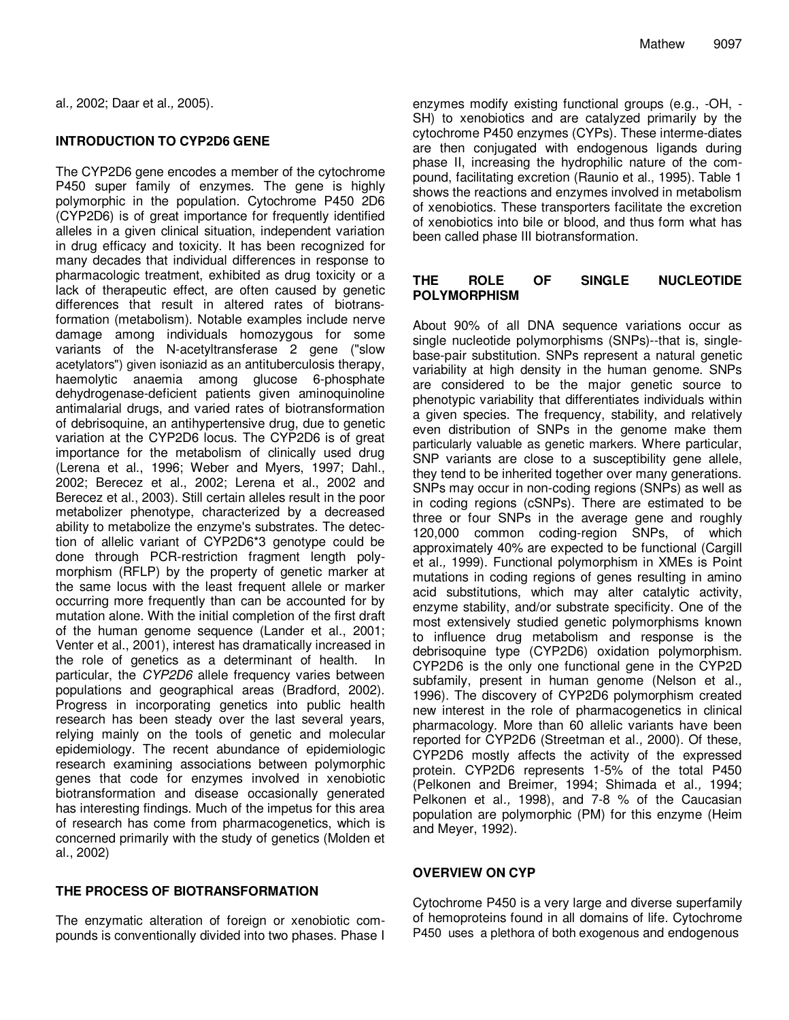al*.,* 2002; Daar et al*.,* 2005).

# **INTRODUCTION TO CYP2D6 GENE**

The CYP2D6 gene encodes a member of the cytochrome P450 super family of enzymes. The gene is highly polymorphic in the population. Cytochrome P450 2D6 (CYP2D6) is of great importance for frequently identified alleles in a given clinical situation, independent variation in drug efficacy and toxicity. It has been recognized for many decades that individual differences in response to pharmacologic treatment, exhibited as drug toxicity or a lack of therapeutic effect, are often caused by genetic differences that result in altered rates of biotransformation (metabolism). Notable examples include nerve damage among individuals homozygous for some variants of the N-acetyltransferase 2 gene ("slow acetylators") given isoniazid as an antituberculosis therapy, haemolytic anaemia among glucose 6-phosphate dehydrogenase-deficient patients given aminoquinoline antimalarial drugs, and varied rates of biotransformation of debrisoquine, an antihypertensive drug, due to genetic variation at the CYP2D6 locus. The CYP2D6 is of great importance for the metabolism of clinically used drug (Lerena et al., 1996; Weber and Myers, 1997; Dahl., 2002; Berecez et al., 2002; Lerena et al., 2002 and Berecez et al., 2003). Still certain alleles result in the poor metabolizer phenotype, characterized by a decreased ability to metabolize the enzyme's substrates. The detection of allelic variant of CYP2D6\*3 genotype could be done through PCR-restriction fragment length polymorphism (RFLP) by the property of genetic marker at the same locus with the least frequent allele or marker occurring more frequently than can be accounted for by mutation alone. With the initial completion of the first draft of the human genome sequence (Lander et al., 2001; Venter et al., 2001), interest has dramatically increased in the role of genetics as a determinant of health. In particular, the *CYP2D6* allele frequency varies between populations and geographical areas (Bradford, 2002). Progress in incorporating genetics into public health research has been steady over the last several years, relying mainly on the tools of genetic and molecular epidemiology. The recent abundance of epidemiologic research examining associations between polymorphic genes that code for enzymes involved in xenobiotic biotransformation and disease occasionally generated has interesting findings. Much of the impetus for this area of research has come from pharmacogenetics, which is concerned primarily with the study of genetics (Molden et al., 2002)

## **THE PROCESS OF BIOTRANSFORMATION**

The enzymatic alteration of foreign or xenobiotic compounds is conventionally divided into two phases. Phase I

enzymes modify existing functional groups (e.g., -OH, - SH) to xenobiotics and are catalyzed primarily by the cytochrome P450 enzymes (CYPs). These interme-diates are then conjugated with endogenous ligands during phase II, increasing the hydrophilic nature of the compound, facilitating excretion (Raunio et al., 1995). Table 1 shows the reactions and enzymes involved in metabolism of xenobiotics. These transporters facilitate the excretion of xenobiotics into bile or blood, and thus form what has been called phase III biotransformation.

## **THE ROLE OF SINGLE NUCLEOTIDE POLYMORPHISM**

About 90% of all DNA sequence variations occur as single nucleotide polymorphisms (SNPs)--that is, singlebase-pair substitution. SNPs represent a natural genetic variability at high density in the human genome. SNPs are considered to be the major genetic source to phenotypic variability that differentiates individuals within a given species. The frequency, stability, and relatively even distribution of SNPs in the genome make them particularly valuable as genetic markers. Where particular, SNP variants are close to a susceptibility gene allele, they tend to be inherited together over many generations. SNPs may occur in non-coding regions (SNPs) as well as in coding regions (cSNPs). There are estimated to be three or four SNPs in the average gene and roughly 120,000 common coding-region SNPs, of which approximately 40% are expected to be functional (Cargill et al*.,* 1999). Functional polymorphism in XMEs is Point mutations in coding regions of genes resulting in amino acid substitutions, which may alter catalytic activity, enzyme stability, and/or substrate specificity. One of the most extensively studied genetic polymorphisms known to influence drug metabolism and response is the debrisoquine type (CYP2D6) oxidation polymorphism. CYP2D6 is the only one functional gene in the CYP2D subfamily, present in human genome (Nelson et al*.,* 1996). The discovery of CYP2D6 polymorphism created new interest in the role of pharmacogenetics in clinical pharmacology. More than 60 allelic variants have been reported for CYP2D6 (Streetman et al*.,* 2000). Of these, CYP2D6 mostly affects the activity of the expressed protein. CYP2D6 represents 1-5% of the total P450 (Pelkonen and Breimer, 1994; Shimada et al*.,* 1994; Pelkonen et al*.,* 1998), and 7-8 % of the Caucasian population are polymorphic (PM) for this enzyme (Heim and Meyer, 1992).

## **OVERVIEW ON CYP**

Cytochrome P450 is a very large and diverse superfamily of hemoproteins found in all domains of life. Cytochrome P450 uses a plethora of both exogenous and endogenous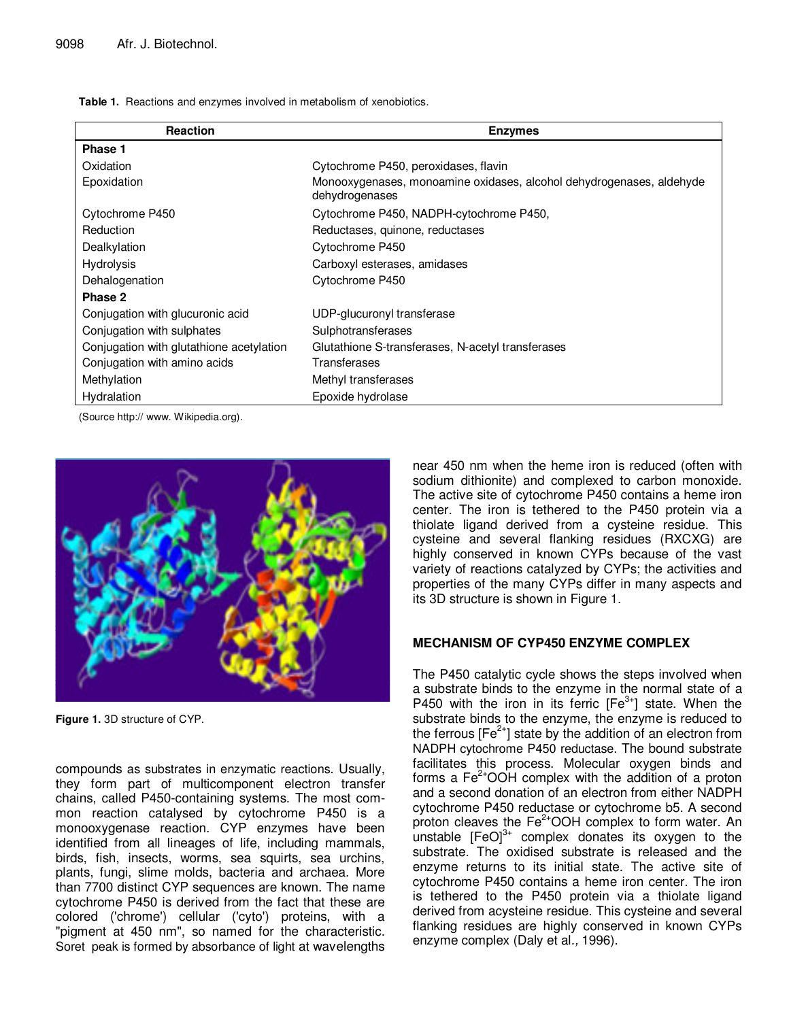**Table 1.** Reactions and enzymes involved in metabolism of xenobiotics.

| Reaction                                 | <b>Enzymes</b>                                                                         |  |  |
|------------------------------------------|----------------------------------------------------------------------------------------|--|--|
| Phase 1                                  |                                                                                        |  |  |
| Oxidation                                | Cytochrome P450, peroxidases, flavin                                                   |  |  |
| Epoxidation                              | Monooxygenases, monoamine oxidases, alcohol dehydrogenases, aldehyde<br>dehydrogenases |  |  |
| Cytochrome P450                          | Cytochrome P450, NADPH-cytochrome P450,                                                |  |  |
| Reduction                                | Reductases, quinone, reductases                                                        |  |  |
| Dealkylation                             | Cytochrome P450                                                                        |  |  |
| Hydrolysis                               | Carboxyl esterases, amidases                                                           |  |  |
| Dehalogenation                           | Cytochrome P450                                                                        |  |  |
| Phase 2                                  |                                                                                        |  |  |
| Conjugation with glucuronic acid         | UDP-glucuronyl transferase                                                             |  |  |
| Conjugation with sulphates               | Sulphotransferases                                                                     |  |  |
| Conjugation with glutathione acetylation | Glutathione S-transferases, N-acetyl transferases                                      |  |  |
| Conjugation with amino acids             | Transferases                                                                           |  |  |
| Methylation                              | Methyl transferases                                                                    |  |  |
| Hydralation                              | Epoxide hydrolase                                                                      |  |  |

(Source http:// www. Wikipedia.org).



**Figure 1.** 3D structure of CYP.

compounds as substrates in enzymatic reactions. Usually, they form part of multicomponent electron transfer chains, called P450-containing systems. The most common reaction catalysed by cytochrome P450 is a monooxygenase reaction. CYP enzymes have been identified from all lineages of life, including mammals, birds, fish, insects, worms, sea squirts, sea urchins, plants, fungi, slime molds, bacteria and archaea. More than 7700 distinct CYP sequences are known. The name cytochrome P450 is derived from the fact that these are colored ('chrome') cellular ('cyto') proteins, with a "pigment at 450 nm", so named for the characteristic. Soret peak is formed by absorbance of light at wavelengths near 450 nm when the heme iron is reduced (often with sodium dithionite) and complexed to carbon monoxide. The active site of cytochrome P450 contains a heme iron center. The iron is tethered to the P450 protein via a thiolate ligand derived from a cysteine residue. This cysteine and several flanking residues (RXCXG) are highly conserved in known CYPs because of the vast variety of reactions catalyzed by CYPs; the activities and properties of the many CYPs differ in many aspects and its 3D structure is shown in Figure 1.

#### **MECHANISM OF CYP450 ENZYME COMPLEX**

The P450 catalytic cycle shows the steps involved when a substrate binds to the enzyme in the normal state of a P450 with the iron in its ferric  $[Fe^{3+}]$  state. When the substrate binds to the enzyme, the enzyme is reduced to the ferrous [Fe<sup>2+</sup>] state by the addition of an electron from NADPH cytochrome P450 reductase. The bound substrate facilitates this process. Molecular oxygen binds and forms a  $Fe<sup>2+</sup>OOH$  complex with the addition of a proton and a second donation of an electron from either NADPH cytochrome P450 reductase or cytochrome b5. A second proton cleaves the Fe<sup>2+</sup>OOH complex to form water. An .<br>unstable [FeO]<sup>3+</sup> complex donates its oxygen to the substrate. The oxidised substrate is released and the enzyme returns to its initial state. The active site of cytochrome P450 contains a heme iron center. The iron is tethered to the P450 protein via a thiolate ligand derived from acysteine residue. This cysteine and several flanking residues are highly conserved in known CYPs enzyme complex (Daly et al*.,* 1996).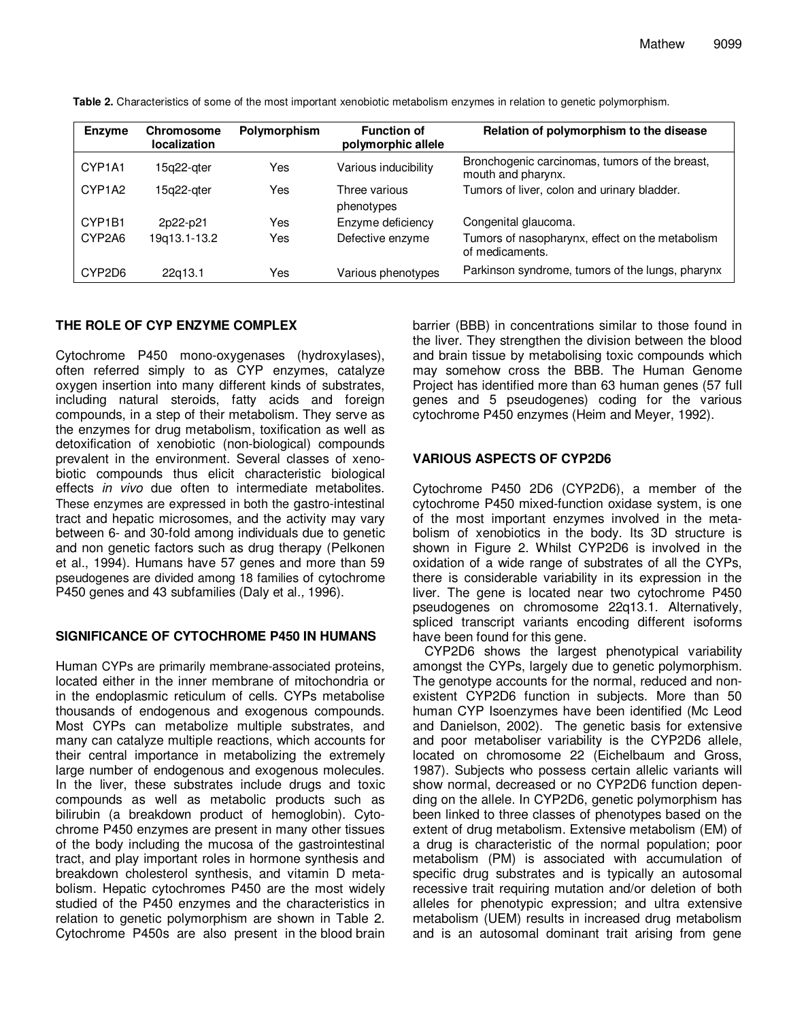| <b>Enzyme</b> | <b>Chromosome</b><br><b>localization</b> | Polymorphism | <b>Function of</b><br>polymorphic allele | Relation of polymorphism to the disease                              |
|---------------|------------------------------------------|--------------|------------------------------------------|----------------------------------------------------------------------|
| CYP1A1        | 15q22-ater                               | Yes          | Various inducibility                     | Bronchogenic carcinomas, tumors of the breast,<br>mouth and pharynx. |
| CYP1A2        | 15a22-ater                               | Yes          | Three various<br>phenotypes              | Tumors of liver, colon and urinary bladder.                          |
| CYP1B1        | 2p22-p21                                 | Yes          | Enzyme deficiency                        | Congenital glaucoma.                                                 |
| CYP2A6        | 19q13.1-13.2                             | Yes          | Defective enzyme                         | Tumors of nasopharynx, effect on the metabolism<br>of medicaments.   |
| CYP2D6        | 22g13.1                                  | Yes          | Various phenotypes                       | Parkinson syndrome, tumors of the lungs, pharynx                     |

**Table 2.** Characteristics of some of the most important xenobiotic metabolism enzymes in relation to genetic polymorphism.

## **THE ROLE OF CYP ENZYME COMPLEX**

Cytochrome P450 mono-oxygenases (hydroxylases), often referred simply to as CYP enzymes, catalyze oxygen insertion into many different kinds of substrates, including natural steroids, fatty acids and foreign compounds, in a step of their metabolism. They serve as the enzymes for drug metabolism, toxification as well as detoxification of xenobiotic (non-biological) compounds prevalent in the environment. Several classes of xenobiotic compounds thus elicit characteristic biological effects *in vivo* due often to intermediate metabolites. These enzymes are expressed in both the gastro-intestinal tract and hepatic microsomes, and the activity may vary between 6- and 30-fold among individuals due to genetic and non genetic factors such as drug therapy (Pelkonen et al., 1994). Humans have 57 genes and more than 59 pseudogenes are divided among 18 families of cytochrome P450 genes and 43 subfamilies (Daly et al*.,* 1996).

## **SIGNIFICANCE OF CYTOCHROME P450 IN HUMANS**

Human CYPs are primarily membrane-associated proteins, located either in the inner membrane of mitochondria or in the endoplasmic reticulum of cells. CYPs metabolise thousands of endogenous and exogenous compounds. Most CYPs can metabolize multiple substrates, and many can catalyze multiple reactions, which accounts for their central importance in metabolizing the extremely large number of endogenous and exogenous molecules. In the liver, these substrates include drugs and toxic compounds as well as metabolic products such as bilirubin (a breakdown product of hemoglobin). Cytochrome P450 enzymes are present in many other tissues of the body including the mucosa of the gastrointestinal tract, and play important roles in hormone synthesis and breakdown cholesterol synthesis, and vitamin D metabolism. Hepatic cytochromes P450 are the most widely studied of the P450 enzymes and the characteristics in relation to genetic polymorphism are shown in Table 2. Cytochrome P450s are also present in the blood brain

barrier (BBB) in concentrations similar to those found in the liver. They strengthen the division between the blood and brain tissue by metabolising toxic compounds which may somehow cross the BBB. The Human Genome Project has identified more than 63 human genes (57 full genes and 5 pseudogenes) coding for the various cytochrome P450 enzymes (Heim and Meyer, 1992).

## **VARIOUS ASPECTS OF CYP2D6**

Cytochrome P450 2D6 (CYP2D6), a member of the cytochrome P450 mixed-function oxidase system, is one of the most important enzymes involved in the metabolism of xenobiotics in the body. Its 3D structure is shown in Figure 2. Whilst CYP2D6 is involved in the oxidation of a wide range of substrates of all the CYPs, there is considerable variability in its expression in the liver. The gene is located near two cytochrome P450 pseudogenes on chromosome 22q13.1. Alternatively, spliced transcript variants encoding different isoforms have been found for this gene.

CYP2D6 shows the largest phenotypical variability amongst the CYPs, largely due to genetic polymorphism. The genotype accounts for the normal, reduced and nonexistent CYP2D6 function in subjects. More than 50 human CYP Isoenzymes have been identified (Mc Leod and Danielson, 2002). The genetic basis for extensive and poor metaboliser variability is the CYP2D6 allele, located on chromosome 22 (Eichelbaum and Gross, 1987). Subjects who possess certain allelic variants will show normal, decreased or no CYP2D6 function depending on the allele. In CYP2D6, genetic polymorphism has been linked to three classes of phenotypes based on the extent of drug metabolism. Extensive metabolism (EM) of a drug is characteristic of the normal population; poor metabolism (PM) is associated with accumulation of specific drug substrates and is typically an autosomal recessive trait requiring mutation and/or deletion of both alleles for phenotypic expression; and ultra extensive metabolism (UEM) results in increased drug metabolism and is an autosomal dominant trait arising from gene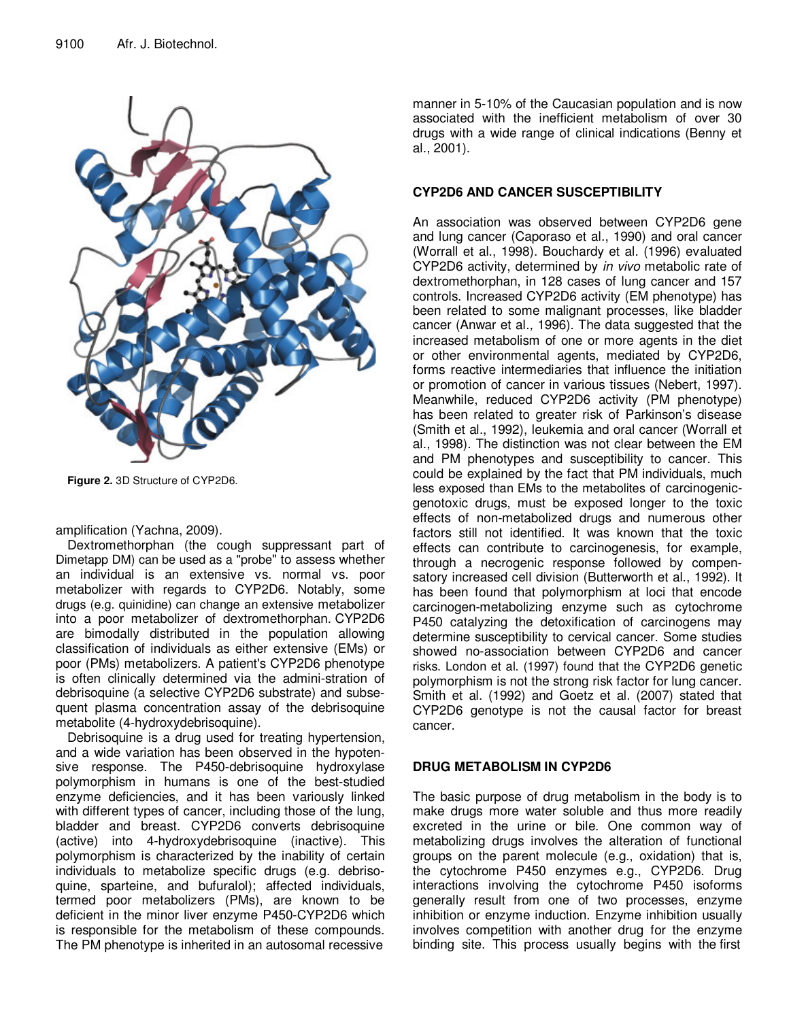

**Figure 2.** 3D Structure of CYP2D6.

amplification (Yachna, 2009).

Dextromethorphan (the cough suppressant part of Dimetapp DM) can be used as a "probe" to assess whether an individual is an extensive vs. normal vs. poor metabolizer with regards to CYP2D6. Notably, some drugs (e.g. quinidine) can change an extensive metabolizer into a poor metabolizer of dextromethorphan. CYP2D6 are bimodally distributed in the population allowing classification of individuals as either extensive (EMs) or poor (PMs) metabolizers. A patient's CYP2D6 phenotype is often clinically determined via the admini-stration of debrisoquine (a selective CYP2D6 substrate) and subsequent plasma concentration assay of the debrisoquine metabolite (4-hydroxydebrisoquine).

Debrisoquine is a drug used for treating hypertension, and a wide variation has been observed in the hypotensive response. The P450-debrisoquine hydroxylase polymorphism in humans is one of the best-studied enzyme deficiencies, and it has been variously linked with different types of cancer, including those of the lung, bladder and breast. CYP2D6 converts debrisoquine (active) into 4-hydroxydebrisoquine (inactive). This polymorphism is characterized by the inability of certain individuals to metabolize specific drugs (e.g. debrisoquine, sparteine, and bufuralol); affected individuals, termed poor metabolizers (PMs), are known to be deficient in the minor liver enzyme P450-CYP2D6 which is responsible for the metabolism of these compounds. The PM phenotype is inherited in an autosomal recessive

manner in 5-10% of the Caucasian population and is now associated with the inefficient metabolism of over 30 drugs with a wide range of clinical indications (Benny et al., 2001).

# **CYP2D6 AND CANCER SUSCEPTIBILITY**

An association was observed between CYP2D6 gene and lung cancer (Caporaso et al., 1990) and oral cancer (Worrall et al., 1998). Bouchardy et al. (1996) evaluated CYP2D6 activity, determined by *in vivo* metabolic rate of dextromethorphan, in 128 cases of lung cancer and 157 controls. Increased CYP2D6 activity (EM phenotype) has been related to some malignant processes, like bladder cancer (Anwar et al*.,* 1996). The data suggested that the increased metabolism of one or more agents in the diet or other environmental agents, mediated by CYP2D6, forms reactive intermediaries that influence the initiation or promotion of cancer in various tissues (Nebert, 1997). Meanwhile, reduced CYP2D6 activity (PM phenotype) has been related to greater risk of Parkinson's disease (Smith et al., 1992), leukemia and oral cancer (Worrall et al., 1998). The distinction was not clear between the EM and PM phenotypes and susceptibility to cancer. This could be explained by the fact that PM individuals, much less exposed than EMs to the metabolites of carcinogenicgenotoxic drugs, must be exposed longer to the toxic effects of non-metabolized drugs and numerous other factors still not identified. It was known that the toxic effects can contribute to carcinogenesis, for example, through a necrogenic response followed by compensatory increased cell division (Butterworth et al., 1992). It has been found that polymorphism at loci that encode carcinogen-metabolizing enzyme such as cytochrome P450 catalyzing the detoxification of carcinogens may determine susceptibility to cervical cancer. Some studies showed no-association between CYP2D6 and cancer risks. London et al. (1997) found that the CYP2D6 genetic polymorphism is not the strong risk factor for lung cancer. Smith et al. (1992) and Goetz et al. (2007) stated that CYP2D6 genotype is not the causal factor for breast cancer.

## **DRUG METABOLISM IN CYP2D6**

The basic purpose of drug metabolism in the body is to make drugs more water soluble and thus more readily excreted in the urine or bile. One common way of metabolizing drugs involves the alteration of functional groups on the parent molecule (e.g., oxidation) that is, the cytochrome P450 enzymes e.g., CYP2D6. Drug interactions involving the cytochrome P450 isoforms generally result from one of two processes, enzyme inhibition or enzyme induction. Enzyme inhibition usually involves competition with another drug for the enzyme binding site. This process usually begins with the first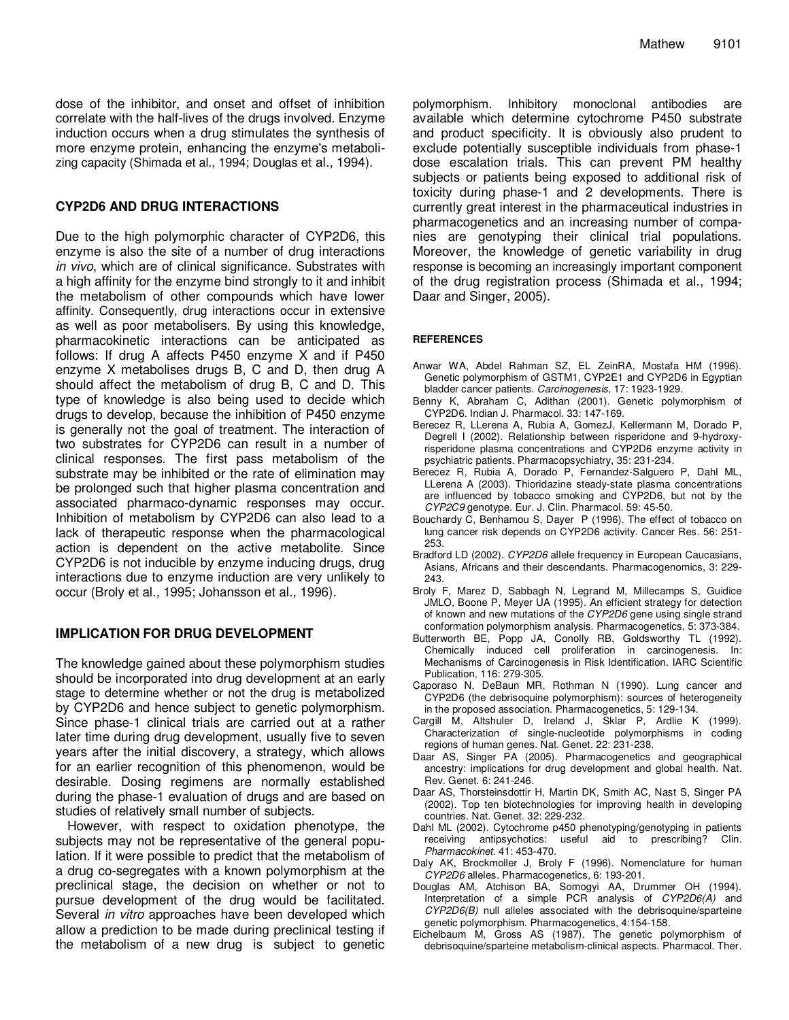dose of the inhibitor, and onset and offset of inhibition correlate with the half-lives of the drugs involved. Enzyme induction occurs when a drug stimulates the synthesis of more enzyme protein, enhancing the enzyme's metabolizing capacity (Shimada et al., 1994; Douglas et al*.,* 1994).

#### **CYP2D6 AND DRUG INTERACTIONS**

Due to the high polymorphic character of CYP2D6, this enzyme is also the site of a number of drug interactions *in vivo*, which are of clinical significance. Substrates with a high affinity for the enzyme bind strongly to it and inhibit the metabolism of other compounds which have lower affinity. Consequently, drug interactions occur in extensive as well as poor metabolisers. By using this knowledge, pharmacokinetic interactions can be anticipated as follows: If drug A affects P450 enzyme X and if P450 enzyme X metabolises drugs B, C and D, then drug A should affect the metabolism of drug B, C and D. This type of knowledge is also being used to decide which drugs to develop, because the inhibition of P450 enzyme is generally not the goal of treatment. The interaction of two substrates for CYP2D6 can result in a number of clinical responses. The first pass metabolism of the substrate may be inhibited or the rate of elimination may be prolonged such that higher plasma concentration and associated pharmaco-dynamic responses may occur. Inhibition of metabolism by CYP2D6 can also lead to a lack of therapeutic response when the pharmacological action is dependent on the active metabolite. Since CYP2D6 is not inducible by enzyme inducing drugs, drug interactions due to enzyme induction are very unlikely to occur (Broly et al*.,* 1995; Johansson et al*.,* 1996).

#### **IMPLICATION FOR DRUG DEVELOPMENT**

The knowledge gained about these polymorphism studies should be incorporated into drug development at an early stage to determine whether or not the drug is metabolized by CYP2D6 and hence subject to genetic polymorphism. Since phase-1 clinical trials are carried out at a rather later time during drug development, usually five to seven years after the initial discovery, a strategy, which allows for an earlier recognition of this phenomenon, would be desirable. Dosing regimens are normally established during the phase-1 evaluation of drugs and are based on studies of relatively small number of subjects.

However, with respect to oxidation phenotype, the subjects may not be representative of the general population. If it were possible to predict that the metabolism of a drug co-segregates with a known polymorphism at the preclinical stage, the decision on whether or not to pursue development of the drug would be facilitated. Several *in vitro* approaches have been developed which allow a prediction to be made during preclinical testing if the metabolism of a new drug is subject to genetic polymorphism. Inhibitory monoclonal antibodies are available which determine cytochrome P450 substrate and product specificity. It is obviously also prudent to exclude potentially susceptible individuals from phase-1 dose escalation trials. This can prevent PM healthy subjects or patients being exposed to additional risk of toxicity during phase-1 and 2 developments. There is currently great interest in the pharmaceutical industries in pharmacogenetics and an increasing number of companies are genotyping their clinical trial populations. Moreover, the knowledge of genetic variability in drug response is becoming an increasingly important component of the drug registration process (Shimada et al., 1994; Daar and Singer, 2005).

#### **REFERENCES**

- Anwar WA, Abdel Rahman SZ, EL ZeinRA, Mostafa HM (1996). Genetic polymorphism of GSTM1, CYP2E1 and CYP2D6 in Egyptian bladder cancer patients. *Carcinogenesis*, 17: 1923-1929.
- Benny K, Abraham C, Adithan (2001). Genetic polymorphism of CYP2D6. Indian J. Pharmacol. 33: 147-169.
- Berecez R, LLerena A, Rubia A, GomezJ, Kellermann M, Dorado P, Degrell I (2002). Relationship between risperidone and 9-hydroxyrisperidone plasma concentrations and CYP2D6 enzyme activity in psychiatric patients. Pharmacopsychiatry, 35: 231-234.
- Berecez R, Rubia A, Dorado P, Fernandez-Salguero P, Dahl ML, LLerena A (2003). Thioridazine steady-state plasma concentrations are influenced by tobacco smoking and CYP2D6, but not by the *CYP2C9* genotype. Eur. J. Clin. Pharmacol. 59: 45-50.
- Bouchardy C, Benhamou S, Dayer P (1996). The effect of tobacco on lung cancer risk depends on CYP2D6 activity. Cancer Res. 56: 251- 253.
- Bradford LD (2002). *CYP2D6* allele frequency in European Caucasians, Asians, Africans and their descendants. Pharmacogenomics, 3: 229- 243.
- Broly F, Marez D, Sabbagh N, Legrand M, Millecamps S, Guidice JMLO, Boone P, Meyer UA (1995). An efficient strategy for detection of known and new mutations of the *CYP2D6* gene using single strand conformation polymorphism analysis. Pharmacogenetics, 5: 373-384.
- Butterworth BE, Popp JA, Conolly RB, Goldsworthy TL (1992). Chemically induced cell proliferation in carcinogenesis. In: Mechanisms of Carcinogenesis in Risk Identification. IARC Scientific Publication, 116: 279-305.
- Caporaso N, DeBaun MR, Rothman N (1990). Lung cancer and CYP2D6 (the debrisoquine polymorphism): sources of heterogeneity in the proposed association. Pharmacogenetics, 5: 129-134.
- Cargill M, Altshuler D, Ireland J, Sklar P, Ardlie K (1999). Characterization of single-nucleotide polymorphisms in coding regions of human genes. Nat. Genet. 22: 231-238.
- Daar AS, Singer PA (2005). Pharmacogenetics and geographical ancestry: implications for drug development and global health. Nat. Rev. Genet. 6: 241-246.
- Daar AS, Thorsteinsdottir H, Martin DK, Smith AC, Nast S, Singer PA (2002). Top ten biotechnologies for improving health in developing countries. Nat. Genet. 32: 229-232.
- Dahl ML (2002). Cytochrome p450 phenotyping/genotyping in patients receiving antipsychotics: useful aid to prescribing? Clin*. Pharmacokinet*. 41: 453-470.
- Daly AK, Brockmoller J, Broly F (1996). Nomenclature for human *CYP2D6* alleles. Pharmacogenetics, 6: 193-201.
- Douglas AM, Atchison BA, Somogyi AA, Drummer OH (1994). Interpretation of a simple PCR analysis of *CYP2D6(A)* and *CYP2D6(B)* null alleles associated with the debrisoquine/sparteine genetic polymorphism. Pharmacogenetics, 4:154-158.
- Eichelbaum M, Gross AS (1987). The genetic polymorphism of debrisoquine/sparteine metabolism-clinical aspects. Pharmacol. Ther*.*